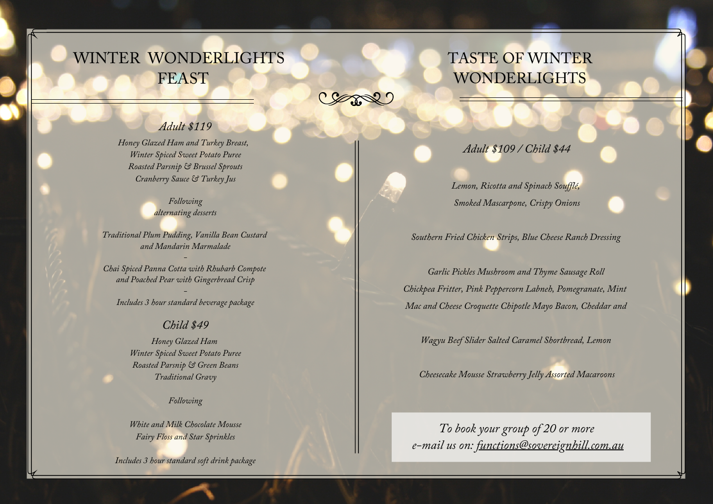# WINTER WONDERLIGHTS FEAST

Comme

### *Adult \$119*

*Honey Glazed Ham and Turkey Breast, Winter Spiced Sweet Potato Puree Roasted Parsnip & Brussel Sprouts Cranberry Sauce & Turkey Jus*

> *Following alternating desserts*

*Traditional Plum Pudding, Vanilla Bean Custard and Mandarin Marmalade*

*-*

*Chai Spiced Panna Cotta with Rhubarb Compote and Poached Pear with Gingerbread Crisp*

*- Includes 3 hour standard beverage package*

#### *Child \$49*

*Honey Glazed Ham Winter Spiced Sweet Potato Puree Roasted Parsnip & Green Beans Traditional Gravy*

*Following*

*White and Milk Chocolate Mousse Fairy Floss and Star Sprinkles*

*Includes 3 hour standard soft drink package*

# TASTE OF WINTER **WONDERLIGHTS**

### *Adult \$109 / Child \$44*

*Lemon, Ricotta and Spinach Souf lé, Smoked Mascarpone, Crispy Onions*

*Southern Fried Chicken Strips, Blue Cheese Ranch Dressing*

*Garlic Pickles Mushroom and Thyme Sausage Roll Chickpea Fritter, Pink Peppercorn Labneh, Pomegranate, Mint Mac and Cheese Croquette Chipotle Mayo Bacon, Cheddar and*

*Wagyu Beef Slider Salted Caramel Shortbread, Lemon*

*Cheesecake Mousse Strawberry Jelly Assorted Macaroons*

*To book your group of 20 or more e-mail us on: [functions@sovereignhill.com.au](mailto:functions@sovereignhill.com.au)*